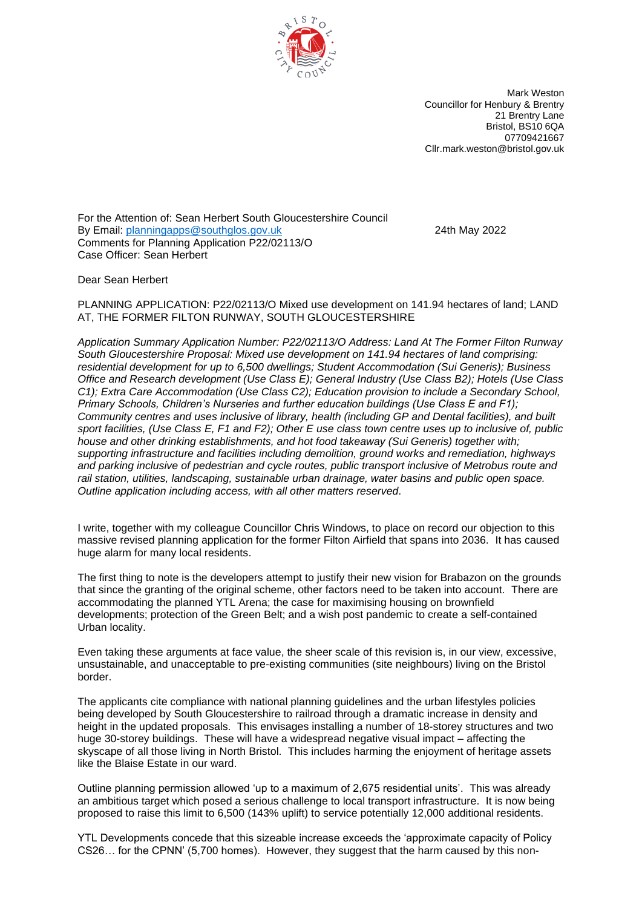

Mark Weston Councillor for Henbury & Brentry 21 Brentry Lane Bristol, BS10 6QA 07709421667 Cllr.mark.weston@bristol.gov.uk

For the Attention of: Sean Herbert South Gloucestershire Council By Email: [planningapps@southglos.gov.uk](javascript:void(0);) 24th May 2022 Comments for Planning Application P22/02113/O Case Officer: Sean Herbert

Dear Sean Herbert

PLANNING APPLICATION: P22/02113/O Mixed use development on 141.94 hectares of land; LAND AT, THE FORMER FILTON RUNWAY, SOUTH GLOUCESTERSHIRE

*Application Summary Application Number: P22/02113/O Address: Land At The Former Filton Runway South Gloucestershire Proposal: Mixed use development on 141.94 hectares of land comprising: residential development for up to 6,500 dwellings; Student Accommodation (Sui Generis); Business Office and Research development (Use Class E); General Industry (Use Class B2); Hotels (Use Class C1); Extra Care Accommodation (Use Class C2); Education provision to include a Secondary School, Primary Schools, Children's Nurseries and further education buildings (Use Class E and F1); Community centres and uses inclusive of library, health (including GP and Dental facilities), and built sport facilities, (Use Class E, F1 and F2); Other E use class town centre uses up to inclusive of, public house and other drinking establishments, and hot food takeaway (Sui Generis) together with; supporting infrastructure and facilities including demolition, ground works and remediation, highways and parking inclusive of pedestrian and cycle routes, public transport inclusive of Metrobus route and rail station, utilities, landscaping, sustainable urban drainage, water basins and public open space. Outline application including access, with all other matters reserved.*

I write, together with my colleague Councillor Chris Windows, to place on record our objection to this massive revised planning application for the former Filton Airfield that spans into 2036. It has caused huge alarm for many local residents.

The first thing to note is the developers attempt to justify their new vision for Brabazon on the grounds that since the granting of the original scheme, other factors need to be taken into account. There are accommodating the planned YTL Arena; the case for maximising housing on brownfield developments; protection of the Green Belt; and a wish post pandemic to create a self-contained Urban locality.

Even taking these arguments at face value, the sheer scale of this revision is, in our view, excessive, unsustainable, and unacceptable to pre-existing communities (site neighbours) living on the Bristol border.

The applicants cite compliance with national planning guidelines and the urban lifestyles policies being developed by South Gloucestershire to railroad through a dramatic increase in density and height in the updated proposals. This envisages installing a number of 18-storey structures and two huge 30-storey buildings. These will have a widespread negative visual impact – affecting the skyscape of all those living in North Bristol. This includes harming the enjoyment of heritage assets like the Blaise Estate in our ward.

Outline planning permission allowed 'up to a maximum of 2,675 residential units'. This was already an ambitious target which posed a serious challenge to local transport infrastructure. It is now being proposed to raise this limit to 6,500 (143% uplift) to service potentially 12,000 additional residents.

YTL Developments concede that this sizeable increase exceeds the 'approximate capacity of Policy CS26… for the CPNN' (5,700 homes). However, they suggest that the harm caused by this non-